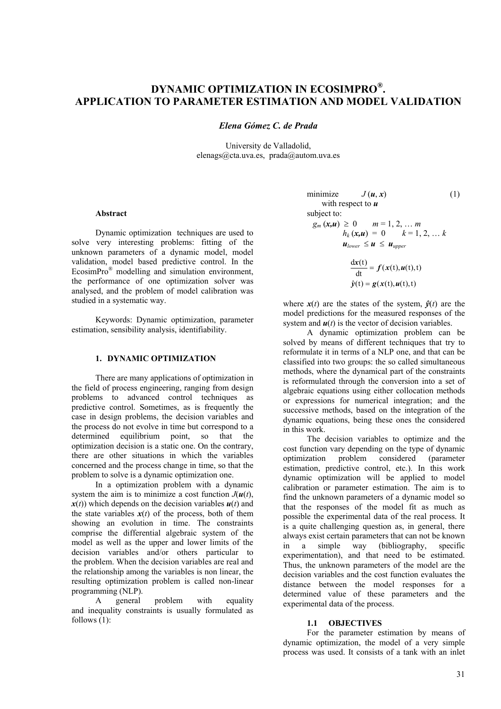# **DYNAMIC OPTIMIZATION IN ECOSIMPRO®. APPLICATION TO PARAMETER ESTIMATION AND MODEL VALIDATION**

*Elena Gómez C. de Prada* 

University de Valladolid, elenags@cta.uva.es, prada@autom.uva.es

# **Abstract**

Dynamic optimization techniques are used to solve very interesting problems: fitting of the unknown parameters of a dynamic model, model validation, model based predictive control. In the EcosimPro® modelling and simulation environment, the performance of one optimization solver was analysed, and the problem of model calibration was studied in a systematic way.

Keywords: Dynamic optimization, parameter estimation, sensibility analysis, identifiability.

# **1. DYNAMIC OPTIMIZATION**

There are many applications of optimization in the field of process engineering, ranging from design problems to advanced control techniques as predictive control. Sometimes, as is frequently the case in design problems, the decision variables and the process do not evolve in time but correspond to a determined equilibrium point, so that the optimization decision is a static one. On the contrary, there are other situations in which the variables concerned and the process change in time, so that the problem to solve is a dynamic optimization one.

In a optimization problem with a dynamic system the aim is to minimize a cost function  $J(u(t))$ ,  $x(t)$  which depends on the decision variables  $u(t)$  and the state variables  $x(t)$  of the process, both of them showing an evolution in time. The constraints comprise the differential algebraic system of the model as well as the upper and lower limits of the decision variables and/or others particular to the problem. When the decision variables are real and the relationship among the variables is non linear, the resulting optimization problem is called non-linear programming (NLP).

A general problem with equality and inequality constraints is usually formulated as follows (1):

minimize 
$$
J(\mathbf{u}, \mathbf{x})
$$
 (1)  
\nwith respect to  $\mathbf{u}$   
\nsubject to:  
\n $g_m(\mathbf{x}, \mathbf{u}) \ge 0$   $m = 1, 2, ... m$   
\n $h_k(\mathbf{x}, \mathbf{u}) = 0$   $k = 1, 2, ... k$   
\n $\mathbf{u}_{lower} \le \mathbf{u} \le \mathbf{u}_{upper}$   
\n
$$
\frac{d\mathbf{x}(t)}{dt} = f(\mathbf{x}(t), \mathbf{u}(t), t)
$$
\n $\hat{y}(t) = g(\mathbf{x}(t), \mathbf{u}(t), t)$ 

where  $x(t)$  are the states of the system,  $\hat{y}(t)$  are the model predictions for the measured responses of the system and  $u(t)$  is the vector of decision variables.

A dynamic optimization problem can be solved by means of different techniques that try to reformulate it in terms of a NLP one, and that can be classified into two groups: the so called simultaneous methods, where the dynamical part of the constraints is reformulated through the conversion into a set of algebraic equations using either collocation methods or expressions for numerical integration; and the successive methods, based on the integration of the dynamic equations, being these ones the considered in this work.

The decision variables to optimize and the cost function vary depending on the type of dynamic optimization problem considered (parameter estimation, predictive control, etc.). In this work dynamic optimization will be applied to model calibration or parameter estimation. The aim is to find the unknown parameters of a dynamic model so that the responses of the model fit as much as possible the experimental data of the real process. It is a quite challenging question as, in general, there always exist certain parameters that can not be known in a simple way (bibliography, specific experimentation), and that need to be estimated. Thus, the unknown parameters of the model are the decision variables and the cost function evaluates the distance between the model responses for a determined value of these parameters and the experimental data of the process.

# **1.1 OBJECTIVES**

For the parameter estimation by means of dynamic optimization, the model of a very simple process was used. It consists of a tank with an inlet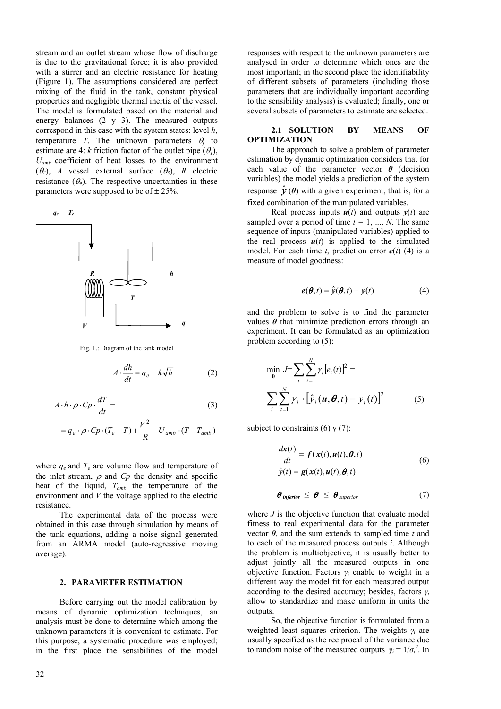stream and an outlet stream whose flow of discharge is due to the gravitational force; it is also provided with a stirrer and an electric resistance for heating (Figure 1). The assumptions considered are perfect mixing of the fluid in the tank, constant physical properties and negligible thermal inertia of the vessel. The model is formulated based on the material and energy balances (2 y 3). The measured outputs correspond in this case with the system states: level *h*, temperature *T*. The unknown parameters  $\theta_i$  to estimate are 4: *k* friction factor of the outlet pipe  $(\theta_i)$ , *Uamb* coefficient of heat losses to the environment ( $\theta_2$ ), *A* vessel external surface ( $\theta_3$ ), *R* electric resistance  $(\theta_4)$ . The respective uncertainties in these parameters were supposed to be of  $\pm 25\%$ .



Fig. 1.: Diagram of the tank model

$$
A \cdot \frac{dh}{dt} = q_e - k\sqrt{h} \tag{2}
$$

$$
A \cdot h \cdot \rho \cdot Cp \cdot \frac{dT}{dt} = \qquad (3)
$$
  
=  $q_e \cdot \rho \cdot Cp \cdot (T_e - T) + \frac{V^2}{R} - U_{amb} \cdot (T - T_{amb})$ 

where 
$$
q_e
$$
 and  $T_e$  are volume flow and temperature of  
the inlet stream,  $\rho$  and  $Cp$  the density and specific  
heat of the liquid,  $T_{amb}$  the temperature of the  
environment and V the voltage applied to the electric  
resistance.

The experimental data of the process were obtained in this case through simulation by means of the tank equations, adding a noise signal generated from an ARMA model (auto-regressive moving average).

#### **2. PARAMETER ESTIMATION**

Before carrying out the model calibration by means of dynamic optimization techniques, an analysis must be done to determine which among the unknown parameters it is convenient to estimate. For this purpose, a systematic procedure was employed; in the first place the sensibilities of the model responses with respect to the unknown parameters are analysed in order to determine which ones are the most important; in the second place the identifiability of different subsets of parameters (including those parameters that are individually important according to the sensibility analysis) is evaluated; finally, one or several subsets of parameters to estimate are selected.

# **2.1 SOLUTION BY MEANS OF OPTIMIZATION**

The approach to solve a problem of parameter estimation by dynamic optimization considers that for each value of the parameter vector  $\theta$  (decision variables) the model yields a prediction of the system response  $\hat{\mathbf{y}}(\theta)$  with a given experiment, that is, for a fixed combination of the manipulated variables.

Real process inputs  $u(t)$  and outputs  $y(t)$  are sampled over a period of time  $t = 1, ..., N$ . The same sequence of inputs (manipulated variables) applied to the real process  $u(t)$  is applied to the simulated model. For each time  $t$ , prediction error  $e(t)$  (4) is a measure of model goodness:

$$
e(\boldsymbol{\theta},t) = \hat{y}(\boldsymbol{\theta},t) - y(t) \tag{4}
$$

and the problem to solve is to find the parameter values  $\theta$  that minimize prediction errors through an experiment. It can be formulated as an optimization problem according to (5):

$$
\min_{\theta} J = \sum_{i} \sum_{t=1}^{N} \gamma_i [e_i(t)]^2 =
$$
\n
$$
\sum_{i} \sum_{t=1}^{N} \gamma_i \cdot [\hat{y}_i(\mathbf{u}, \theta, t) - y_i(t)]^2
$$
\n(5)

subject to constraints  $(6)$  y  $(7)$ :

$$
\frac{d\mathbf{x}(t)}{dt} = \mathbf{f}(\mathbf{x}(t), \mathbf{u}(t), \boldsymbol{\theta}, t)
$$
  
\n
$$
\hat{\mathbf{y}}(t) = \mathbf{g}(\mathbf{x}(t), \mathbf{u}(t), \boldsymbol{\theta}, t)
$$
\n(6)

$$
\boldsymbol{\theta}_{\text{inferior}} \leq \boldsymbol{\theta} \leq \boldsymbol{\theta}_{\text{superior}} \tag{7}
$$

where *J* is the objective function that evaluate model fitness to real experimental data for the parameter vector  $\theta$ , and the sum extends to sampled time *t* and to each of the measured process outputs *i*. Although the problem is multiobjective, it is usually better to adjust jointly all the measured outputs in one objective function. Factors  $\gamma_i$  enable to weight in a different way the model fit for each measured output according to the desired accuracy; besides, factors *γ<sup>i</sup>* allow to standardize and make uniform in units the outputs.

So, the objective function is formulated from a weighted least squares criterion. The weights *γi* are usually specified as the reciprocal of the variance due to random noise of the measured outputs  $\gamma_i = 1/\sigma_i^2$ . In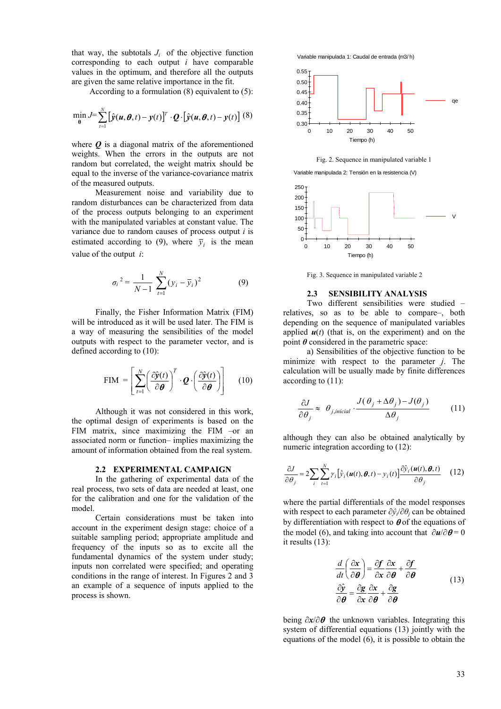that way, the subtotals  $J_i$  of the objective function corresponding to each output *i* have comparable values in the optimum, and therefore all the outputs are given the same relative importance in the fit.

According to a formulation (8) equivalent to (5):

$$
\min_{\theta} J = \sum_{t=1}^{N} \left[ \hat{y}(u, \theta, t) - y(t) \right]^T \cdot Q \cdot \left[ \hat{y}(u, \theta, t) - y(t) \right] (8)
$$

where  $\boldsymbol{O}$  is a diagonal matrix of the aforementioned weights. When the errors in the outputs are not random but correlated, the weight matrix should be equal to the inverse of the variance-covariance matrix of the measured outputs.

Measurement noise and variability due to random disturbances can be characterized from data of the process outputs belonging to an experiment with the manipulated variables at constant value. The variance due to random causes of process output *i* is estimated according to (9), where  $\bar{y}_i$  is the mean value of the output *i*:

$$
\sigma_i^2 = \frac{1}{N-1} \sum_{t=1}^N (y_i - \bar{y}_i)^2
$$
 (9)

Finally, the Fisher Information Matrix (FIM) will be introduced as it will be used later. The FIM is a way of measuring the sensibilities of the model outputs with respect to the parameter vector, and is defined according to (10):

$$
\text{FIM} = \left[ \sum_{t=1}^{N} \left( \frac{\partial \hat{\mathbf{y}}(t)}{\partial \boldsymbol{\theta}} \right)^{T} \cdot \boldsymbol{Q} \cdot \left( \frac{\partial \hat{\mathbf{y}}(t)}{\partial \boldsymbol{\theta}} \right) \right] \quad (10)
$$

Although it was not considered in this work, the optimal design of experiments is based on the FIM matrix, since maximizing the FIM –or an associated norm or function– implies maximizing the amount of information obtained from the real system.

#### **2.2 EXPERIMENTAL CAMPAIGN**

In the gathering of experimental data of the real process, two sets of data are needed at least, one for the calibration and one for the validation of the model.

Certain considerations must be taken into account in the experiment design stage: choice of a suitable sampling period; appropriate amplitude and frequency of the inputs so as to excite all the fundamental dynamics of the system under study; inputs non correlated were specified; and operating conditions in the range of interest. In Figures 2 and 3 an example of a sequence of inputs applied to the process is shown.

Variable manipulada 1: Caudal de entrada (m3/ h)



Fig. 2. Sequence in manipulated variable 1





Fig. 3. Sequence in manipulated variable 2

# **2.3 SENSIBILITY ANALYSIS**

Two different sensibilities were studied – relatives, so as to be able to compare–, both depending on the sequence of manipulated variables applied  $u(t)$  (that is, on the experiment) and on the point  $\theta$  considered in the parametric space:

a) Sensibilities of the objective function to be minimize with respect to the parameter *j*. The calculation will be usually made by finite differences according to (11):

$$
\frac{\partial J}{\partial \theta_j} \approx \theta_{j, \text{inicial}} \cdot \frac{J(\theta_j + \Delta \theta_j) - J(\theta_j)}{\Delta \theta_j} \tag{11}
$$

although they can also be obtained analytically by numeric integration according to  $(12)$ :

$$
\frac{\partial J}{\partial \theta_j} = 2 \sum_i \sum_{t=1}^N \gamma_i [\hat{y}_i(\boldsymbol{u}(t), \boldsymbol{\theta}, t) - y_i(t)] \frac{\partial \hat{y}_i(\boldsymbol{u}(t), \boldsymbol{\theta}, t)}{\partial \theta_j} \quad (12)
$$

where the partial differentials of the model responses with respect to each parameter *∂ŷi*/*∂θj* can be obtained by differentiation with respect to  $\boldsymbol{\theta}$  of the equations of the model (6), and taking into account that  $\partial u / \partial \theta = 0$ it results (13):

$$
\frac{d}{dt}\left(\frac{\partial x}{\partial \theta}\right) = \frac{\partial f}{\partial x}\frac{\partial x}{\partial \theta} + \frac{\partial f}{\partial \theta}
$$
\n
$$
\frac{\partial \hat{y}}{\partial \theta} = \frac{\partial g}{\partial x}\frac{\partial x}{\partial \theta} + \frac{\partial g}{\partial \theta}
$$
\n(13)

being *∂x*/*∂*θ the unknown variables. Integrating this system of differential equations (13) jointly with the equations of the model (6), it is possible to obtain the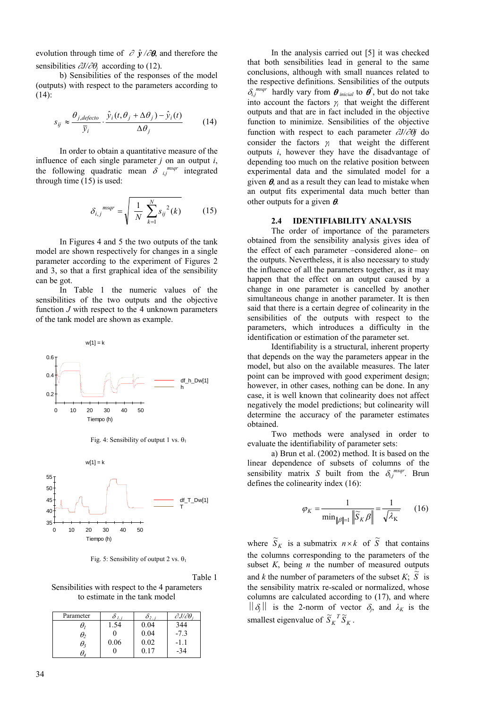evolution through time of  $\partial \hat{y}/\partial \theta$ , and therefore the sensibilities ∂*J/*∂θ*j* according to (12).

b) Sensibilities of the responses of the model (outputs) with respect to the parameters according to (14):

$$
s_{ij} \approx \frac{\theta_{j,defecto}}{\bar{y}_i} \cdot \frac{\hat{y}_i(t, \theta_j + \Delta \theta_j) - \hat{y}_i(t)}{\Delta \theta_j}
$$
(14)

In order to obtain a quantitative measure of the influence of each single parameter *j* on an output *i*, the following quadratic mean  $\delta$  *i*,<sup>*msqr*</sup> integrated through time  $(15)$  is used:

$$
\delta_{i,j}{}^{msgr} = \sqrt{\frac{1}{N} \sum_{k=1}^{N} s_{ij}^2(k)} \qquad (15)
$$

In Figures 4 and 5 the two outputs of the tank model are shown respectively for changes in a single parameter according to the experiment of Figures 2 and 3, so that a first graphical idea of the sensibility can be got.

In Table 1 the numeric values of the sensibilities of the two outputs and the objective function *J* with respect to the 4 unknown parameters of the tank model are shown as example.







Fig. 5: Sensibility of output 2 vs.  $\theta_1$ 

Table 1

Sensibilities with respect to the 4 parameters to estimate in the tank model

| Parameter  |      | $\sigma_{2}$ | $\partial J/\partial\theta_i$ |
|------------|------|--------------|-------------------------------|
| U,         | .54  | $_{0.04}$    | 344                           |
| θ,         |      | 0.04         | $-7.3$                        |
| $\theta_3$ | 0.06 | 0.02         | -11                           |
|            |      | በ 17         | -34                           |

In the analysis carried out [5] it was checked that both sensibilities lead in general to the same conclusions, although with small nuances related to the respective definitions. Sensibilities of the outputs  $\delta_{i,j}^{msgr}$  hardly vary from  $\boldsymbol{\theta}_{\text{inicial}}$  to  $\boldsymbol{\theta}^*$ , but do not take into account the factors  $\gamma_i$  that weight the different outputs and that are in fact included in the objective function to minimize. Sensibilities of the objective function with respect to each parameter ∂*J/*∂θ*j* do consider the factors  $\gamma$ <sup>*i*</sup> that weight the different outputs *i*, however they have the disadvantage of depending too much on the relative position between experimental data and the simulated model for a given  $\theta$ , and as a result they can lead to mistake when an output fits experimental data much better than other outputs for a given  $\theta$ .

# **2.4 IDENTIFIABILITY ANALYSIS**

The order of importance of the parameters obtained from the sensibility analysis gives idea of the effect of each parameter –considered alone– on the outputs. Nevertheless, it is also necessary to study the influence of all the parameters together, as it may happen that the effect on an output caused by a change in one parameter is cancelled by another simultaneous change in another parameter. It is then said that there is a certain degree of colinearity in the sensibilities of the outputs with respect to the parameters, which introduces a difficulty in the identification or estimation of the parameter set.

Identifiability is a structural, inherent property that depends on the way the parameters appear in the model, but also on the available measures. The later point can be improved with good experiment design; however, in other cases, nothing can be done. In any case, it is well known that colinearity does not affect negatively the model predictions; but colinearity will determine the accuracy of the parameter estimates obtained.

Two methods were analysed in order to evaluate the identifiability of parameter sets:

a) Brun et al. (2002) method. It is based on the linear dependence of subsets of columns of the sensibility matrix *S* built from the  $\delta_{i,j}^{msgr}$ . Brun defines the colinearity index (16):

$$
\varphi_K = \frac{1}{\min_{\|\beta\|=1} \left\| \widetilde{S}_K \beta \right\|} = \frac{1}{\sqrt{\lambda_K}} \qquad (16)
$$

where  $\widetilde{S}_K$  is a submatrix  $n \times k$  of  $\widetilde{S}$  that contains the columns corresponding to the parameters of the subset *K*, being *n* the number of measured outputs and *k* the number of parameters of the subset  $K$ ;  $\widetilde{S}$  is the sensibility matrix re-scaled or normalized, whose columns are calculated according to (17), and where  $\|\delta_{i}\|$  is the 2-norm of vector  $\delta_{i}$ , and  $\lambda_{K}$  is the smallest eigenvalue of  $\widetilde{S}_K^T \widetilde{S}_K$ .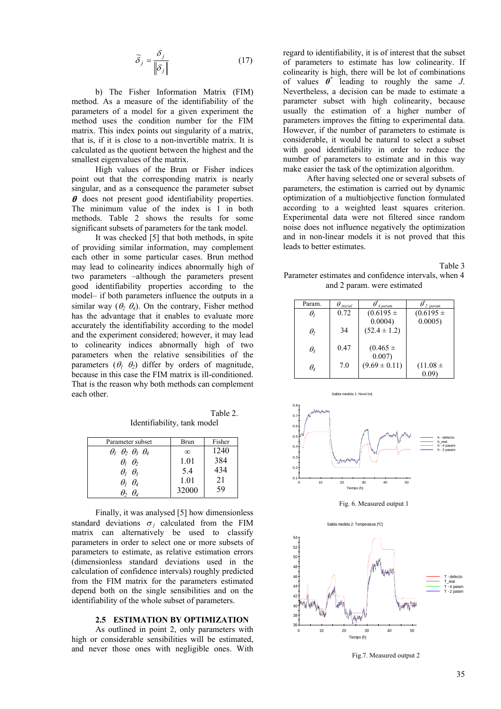$$
\widetilde{\delta}_j = \frac{\delta_j}{\|\delta_j\|} \tag{17}
$$

b) The Fisher Information Matrix (FIM) method. As a measure of the identifiability of the parameters of a model for a given experiment the method uses the condition number for the FIM matrix. This index points out singularity of a matrix, that is, if it is close to a non-invertible matrix. It is calculated as the quotient between the highest and the smallest eigenvalues of the matrix.

High values of the Brun or Fisher indices point out that the corresponding matrix is nearly singular, and as a consequence the parameter subset  $\theta$  does not present good identifiability properties. The minimum value of the index is 1 in both methods. Table 2 shows the results for some significant subsets of parameters for the tank model.

It was checked [5] that both methods, in spite of providing similar information, may complement each other in some particular cases. Brun method may lead to colinearity indices abnormally high of two parameters –although the parameters present good identifiability properties according to the model– if both parameters influence the outputs in a similar way  $(\theta_2, \theta_4)$ . On the contrary, Fisher method has the advantage that it enables to evaluate more accurately the identifiability according to the model and the experiment considered; however, it may lead to colinearity indices abnormally high of two parameters when the relative sensibilities of the parameters  $(\theta_1, \theta_2)$  differ by orders of magnitude, because in this case the FIM matrix is ill-conditioned. That is the reason why both methods can complement each other.

Table 2. Identifiability, tank model

| Parameter subset                            | Brun     | Fisher |
|---------------------------------------------|----------|--------|
| $\theta_1$ $\theta_2$ $\theta_3$ $\theta_4$ | $\infty$ | 1240   |
| $\theta_1$ $\theta_2$                       | 1.01     | 384    |
| $\theta_1$ $\theta_3$                       | 5.4      | 434    |
| $\theta_1$ $\theta_4$                       | 1.01     | 21     |
| $\theta_{\scriptscriptstyle{\ell}}$         | 32000    | 59     |

Finally, it was analysed [5] how dimensionless standard deviations  $\sigma_i$  calculated from the FIM matrix can alternatively be used to classify parameters in order to select one or more subsets of parameters to estimate, as relative estimation errors (dimensionless standard deviations used in the calculation of confidence intervals) roughly predicted from the FIM matrix for the parameters estimated depend both on the single sensibilities and on the identifiability of the whole subset of parameters.

#### **2.5 ESTIMATION BY OPTIMIZATION**

As outlined in point 2, only parameters with high or considerable sensibilities will be estimated, and never those ones with negligible ones. With

regard to identifiability, it is of interest that the subset of parameters to estimate has low colinearity. If colinearity is high, there will be lot of combinations of values *θ\** leading to roughly the same *J*. Nevertheless, a decision can be made to estimate a parameter subset with high colinearity, because usually the estimation of a higher number of parameters improves the fitting to experimental data. However, if the number of parameters to estimate is considerable, it would be natural to select a subset with good identifiability in order to reduce the number of parameters to estimate and in this way make easier the task of the optimization algorithm.

After having selected one or several subsets of parameters, the estimation is carried out by dynamic optimization of a multiobjective function formulated according to a weighted least squares criterion. Experimental data were not filtered since random noise does not influence negatively the optimization and in non-linear models it is not proved that this leads to better estimates.

Table 3 Parameter estimates and confidence intervals, when 4 and 2 param. were estimated

| Param.                             | $\theta$ inicial | 4 param           | 2 param       |
|------------------------------------|------------------|-------------------|---------------|
| $\theta_{\rm\scriptscriptstyle I}$ | 0.72             | $(0.6195 \pm$     | $(0.6195 \pm$ |
|                                    |                  | $0.0004$ )        | 0.0005        |
| $\theta_2$                         | 34               | $(52.4 \pm 1.2)$  |               |
|                                    |                  |                   |               |
| $\theta_{3}$                       | 0.47             | $(0.465 \pm$      |               |
|                                    |                  | 0.007)            |               |
| $\theta_{\scriptscriptstyle 4}$    | 7.0              | $(9.69 \pm 0.11)$ | $(11.08 \pm$  |
|                                    |                  |                   | 0.09          |



Fig. 6. Measured output 1



Fig.7. Measured output 2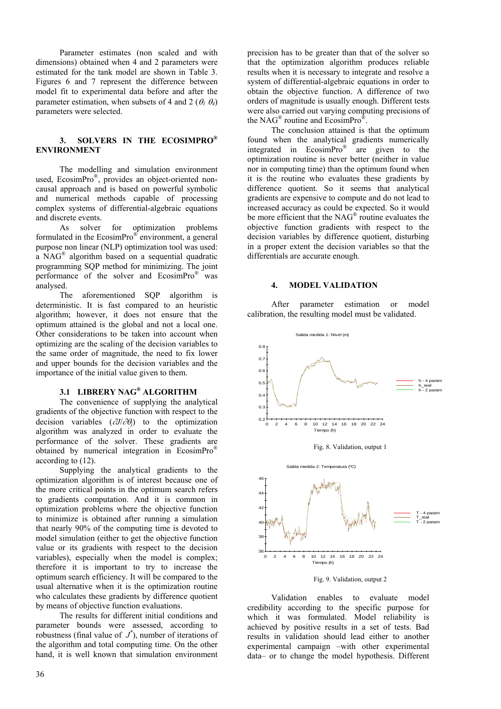Parameter estimates (non scaled and with dimensions) obtained when 4 and 2 parameters were estimated for the tank model are shown in Table 3. Figures 6 and 7 represent the difference between model fit to experimental data before and after the parameter estimation, when subsets of 4 and 2 ( $\theta_1$   $\theta_4$ ) parameters were selected.

#### **. SOLVERS IN THE ECOSIMPRO® 3 ENVIRONMENT**

used, EcosimPro<sup>®</sup>, provides an object-oriented non-The modelling and simulation environment causal approach and is based on powerful symbolic and numerical methods capable of processing complex systems of differential-algebraic equations and discrete events.

formulated in the  $E\text{cosimPro}^{\mathcal{D}}$  environment, a general As solver for optimization problems purpose non linear (NLP) optimization tool was used: a NAG® algorithm based on a sequential quadratic programming SQP method for minimizing. The joint performance of the solver and EcosimPro® was analysed.

The aforementioned SQP algorithm is deterministic. It is fast compared to an heuristic algorithm; however, it does not ensure that the optimum attained is the global and not a local one. Other considerations to be taken into account when optimizing are the scaling of the decision variables to the same order of magnitude, the need to fix lower and upper bounds for the decision variables and the importance of the initial value given to them.

# **.1 LIBRERY NAG® ALGORITHM 3**

gradie nts of the objective function with respect to the The convenience of supplying the analytical decision variables (∂*J*/∂θ*j*) to the optimization algorithm was analyzed in order to evaluate the performance of the solver. These gradients are obtained by numerical integration in EcosimPro® according to (12).

optimi zation algorithm is of interest because one of Supplying the analytical gradients to the the more critical points in the optimum search refers to gradients computation. And it is common in optimization problems where the objective function to minimize is obtained after running a simulation that nearly 90% of the computing time is devoted to model simulation (either to get the objective function value or its gradients with respect to the decision variables), especially when the model is complex; therefore it is important to try to increase the optimum search efficiency. It will be compared to the usual alternative when it is the optimization routine who calculates these gradients by difference quotient by means of objective function evaluations.

The results for different initial conditions and parameter bounds were assessed, according to robustness (final value of *J \** ), number of iterations of the algorithm and total computing time. On the other hand, it is well known that simulation environment precision has to be greater than that of the solver so that the optimization algorithm produces reliable results when it is necessary to integrate and resolve a system of differential-algebraic equations in order to obtain the objective function. A difference of two orders of magnitude is usually enough. Different tests were also carried out varying computing precisions of the NAG® routine and EcosimPro®.

The conclusion attained is that the optimum found when the analytical gradients numerically integrated in EcosimPro® are given to the optimization routine is never better (neither in value nor in computing time) than the optimum found when it is the routine who evaluates these gradients by difference quotient. So it seems that analytical gradients are expensive to compute and do not lead to increased accuracy as could be expected. So it would be more efficient that the NAG<sup>®</sup> routine evaluates the objective function gradients with respect to the decision variables by difference quotient, disturbing in a proper extent the decision variables so that the differentials are accurate enough.

#### **. MODEL VALIDATION 4**

After parameter estimation or model calibra tion, the resulting model must be validated.



Fig. 9. Validation, output 2

Validation enables to evaluate model credib ility according to the specific purpose for which it was formulated. Model reliability is achieved by positive results in a set of tests. Bad results in validation should lead either to another experimental campaign –with other experimental data– or to change the model hypothesis. Different